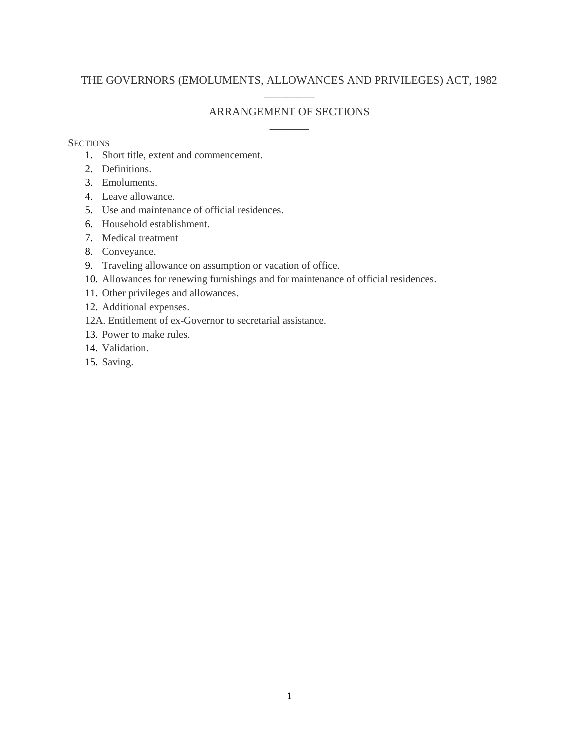## THE GOVERNORS (EMOLUMENTS, ALLOWANCES AND PRIVILEGES) ACT, 1982  $\overline{\phantom{a}}$

## ARRANGEMENT OF SECTIONS \_\_\_\_\_\_\_

## **SECTIONS**

- 1. Short title, extent and commencement.
- 2. Definitions.
- 3. Emoluments.
- 4. Leave allowance.
- 5. Use and maintenance of official residences.
- 6. Household establishment.
- 7. Medical treatment
- 8. Conveyance.
- 9. Traveling allowance on assumption or vacation of office.
- 10. Allowances for renewing furnishings and for maintenance of official residences.
- 11. Other privileges and allowances.
- 12. Additional expenses.
- 12A. Entitlement of ex-Governor to secretarial assistance.
- 13. Power to make rules.
- 14. Validation.
- 15. Saving.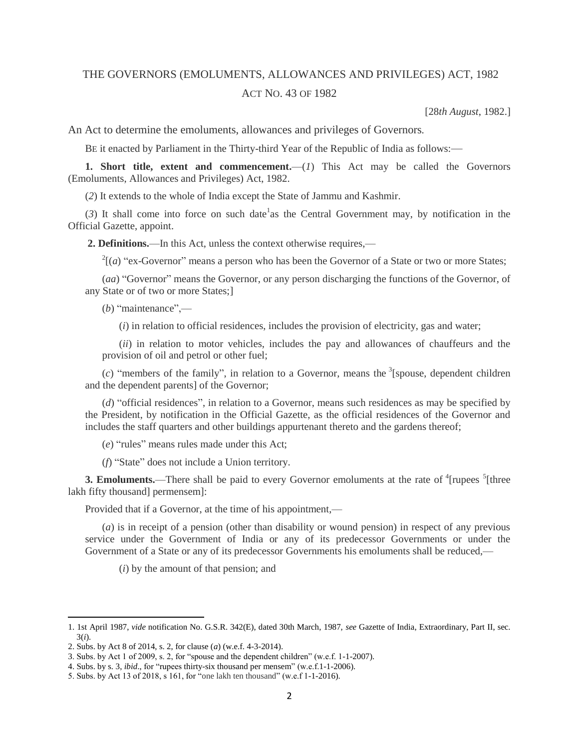## THE GOVERNORS (EMOLUMENTS, ALLOWANCES AND PRIVILEGES) ACT, 1982 ACT NO. 43 OF 1982

[28*th August*, 1982.]

An Act to determine the emoluments, allowances and privileges of Governors*.*

BE it enacted by Parliament in the Thirty-third Year of the Republic of India as follows:—

**1. Short title, extent and commencement.**—(*1*) This Act may be called the Governors (Emoluments, Allowances and Privileges) Act, 1982.

(*2*) It extends to the whole of India except the State of Jammu and Kashmir.

 $(3)$  It shall come into force on such date<sup>1</sup> as the Central Government may, by notification in the Official Gazette, appoint.

**2. Definitions.**—In this Act, unless the context otherwise requires,—

 $2^{2}[(a)$  "ex-Governor" means a person who has been the Governor of a State or two or more States;

(*aa*) "Governor" means the Governor, or any person discharging the functions of the Governor, of any State or of two or more States;]

(*b*) "maintenance",—

(*i*) in relation to official residences, includes the provision of electricity, gas and water;

(*ii*) in relation to motor vehicles, includes the pay and allowances of chauffeurs and the provision of oil and petrol or other fuel;

 $(c)$  "members of the family", in relation to a Governor, means the <sup>3</sup>[spouse, dependent children and the dependent parents] of the Governor;

(*d*) "official residences", in relation to a Governor, means such residences as may be specified by the President, by notification in the Official Gazette, as the official residences of the Governor and includes the staff quarters and other buildings appurtenant thereto and the gardens thereof;

(*e*) "rules" means rules made under this Act;

(*f*) "State" does not include a Union territory.

**3. Emoluments.**—There shall be paid to every Governor emoluments at the rate of <sup>4</sup>[rupees <sup>5</sup>[three lakh fifty thousand] permensem]:

Provided that if a Governor, at the time of his appointment,—

(*a*) is in receipt of a pension (other than disability or wound pension) in respect of any previous service under the Government of India or any of its predecessor Governments or under the Government of a State or any of its predecessor Governments his emoluments shall be reduced,—

(*i*) by the amount of that pension; and

 $\overline{\phantom{a}}$ 

<sup>1. 1</sup>st April 1987, *vide* notification No. G.S.R. 342(E), dated 30th March, 1987, *see* Gazette of India, Extraordinary, Part II, sec. 3(*i*).

<sup>2.</sup> Subs. by Act 8 of 2014, s. 2, for clause (*a*) (w.e.f. 4-3-2014).

<sup>3.</sup> Subs. by Act 1 of 2009, s. 2, for "spouse and the dependent children" (w.e.f. 1-1-2007).

<sup>4.</sup> Subs. by s. 3, *ibid*., for "rupees thirty-six thousand per mensem" (w.e.f.1-1-2006).

<sup>5.</sup> Subs. by Act 13 of 2018, s 161, for "one lakh ten thousand" (w.e.f 1-1-2016).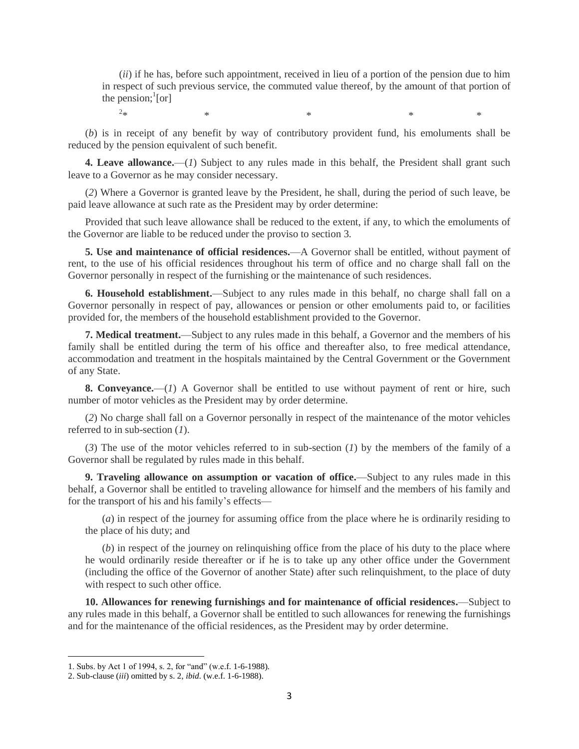(*ii*) if he has, before such appointment, received in lieu of a portion of the pension due to him in respect of such previous service, the commuted value thereof, by the amount of that portion of the pension;  $\lbrack$  [or]

 $2_{\text{st}}$ 

 $*$   $*$   $*$   $*$   $*$   $*$ 

(*b*) is in receipt of any benefit by way of contributory provident fund, his emoluments shall be reduced by the pension equivalent of such benefit.

**4. Leave allowance.**—(*1*) Subject to any rules made in this behalf, the President shall grant such leave to a Governor as he may consider necessary.

(*2*) Where a Governor is granted leave by the President, he shall, during the period of such leave, be paid leave allowance at such rate as the President may by order determine:

Provided that such leave allowance shall be reduced to the extent, if any, to which the emoluments of the Governor are liable to be reduced under the proviso to section 3.

**5. Use and maintenance of official residences.**—A Governor shall be entitled, without payment of rent, to the use of his official residences throughout his term of office and no charge shall fall on the Governor personally in respect of the furnishing or the maintenance of such residences.

**6. Household establishment.**—Subject to any rules made in this behalf, no charge shall fall on a Governor personally in respect of pay, allowances or pension or other emoluments paid to, or facilities provided for, the members of the household establishment provided to the Governor.

**7. Medical treatment.**—Subject to any rules made in this behalf, a Governor and the members of his family shall be entitled during the term of his office and thereafter also, to free medical attendance, accommodation and treatment in the hospitals maintained by the Central Government or the Government of any State.

**8. Conveyance.**—(*1*) A Governor shall be entitled to use without payment of rent or hire, such number of motor vehicles as the President may by order determine.

(*2*) No charge shall fall on a Governor personally in respect of the maintenance of the motor vehicles referred to in sub-section (*1*).

(*3*) The use of the motor vehicles referred to in sub-section (*1*) by the members of the family of a Governor shall be regulated by rules made in this behalf.

**9. Traveling allowance on assumption or vacation of office.**—Subject to any rules made in this behalf, a Governor shall be entitled to traveling allowance for himself and the members of his family and for the transport of his and his family's effects—

(*a*) in respect of the journey for assuming office from the place where he is ordinarily residing to the place of his duty; and

(*b*) in respect of the journey on relinquishing office from the place of his duty to the place where he would ordinarily reside thereafter or if he is to take up any other office under the Government (including the office of the Governor of another State) after such relinquishment, to the place of duty with respect to such other office.

**10. Allowances for renewing furnishings and for maintenance of official residences.**—Subject to any rules made in this behalf, a Governor shall be entitled to such allowances for renewing the furnishings and for the maintenance of the official residences, as the President may by order determine.

 $\overline{a}$ 

<sup>1.</sup> Subs. by Act 1 of 1994, s. 2, for "and" (w.e.f. 1-6-1988).

<sup>2.</sup> Sub-clause (*iii*) omitted by s. 2, *ibid*. (w.e.f. 1-6-1988).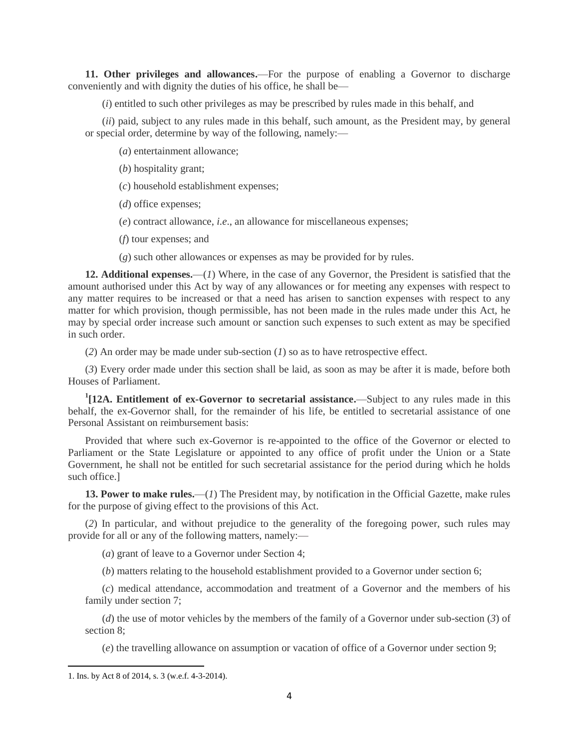**11. Other privileges and allowances.**—For the purpose of enabling a Governor to discharge conveniently and with dignity the duties of his office, he shall be—

(*i*) entitled to such other privileges as may be prescribed by rules made in this behalf, and

(*ii*) paid, subject to any rules made in this behalf, such amount, as the President may, by general or special order, determine by way of the following, namely:—

(*a*) entertainment allowance;

(*b*) hospitality grant;

(*c*) household establishment expenses;

(*d*) office expenses;

(*e*) contract allowance, *i.e*., an allowance for miscellaneous expenses;

(*f*) tour expenses; and

(*g*) such other allowances or expenses as may be provided for by rules.

**12. Additional expenses.**—(*1*) Where, in the case of any Governor, the President is satisfied that the amount authorised under this Act by way of any allowances or for meeting any expenses with respect to any matter requires to be increased or that a need has arisen to sanction expenses with respect to any matter for which provision, though permissible, has not been made in the rules made under this Act, he may by special order increase such amount or sanction such expenses to such extent as may be specified in such order.

(*2*) An order may be made under sub-section (*1*) so as to have retrospective effect.

(*3*) Every order made under this section shall be laid, as soon as may be after it is made, before both Houses of Parliament.

**1 [12A. Entitlement of ex-Governor to secretarial assistance.**—Subject to any rules made in this behalf, the ex-Governor shall, for the remainder of his life, be entitled to secretarial assistance of one Personal Assistant on reimbursement basis:

Provided that where such ex-Governor is re-appointed to the office of the Governor or elected to Parliament or the State Legislature or appointed to any office of profit under the Union or a State Government, he shall not be entitled for such secretarial assistance for the period during which he holds such office.]

**13. Power to make rules.**—(*1*) The President may, by notification in the Official Gazette, make rules for the purpose of giving effect to the provisions of this Act.

(*2*) In particular, and without prejudice to the generality of the foregoing power, such rules may provide for all or any of the following matters, namely:—

(*a*) grant of leave to a Governor under Section 4;

(*b*) matters relating to the household establishment provided to a Governor under section 6;

(*c*) medical attendance, accommodation and treatment of a Governor and the members of his family under section 7;

(*d*) the use of motor vehicles by the members of the family of a Governor under sub-section (*3*) of section 8;

(*e*) the travelling allowance on assumption or vacation of office of a Governor under section 9;

 $\overline{\phantom{a}}$ 

<sup>1.</sup> Ins. by Act 8 of 2014, s. 3 (w.e.f. 4-3-2014).